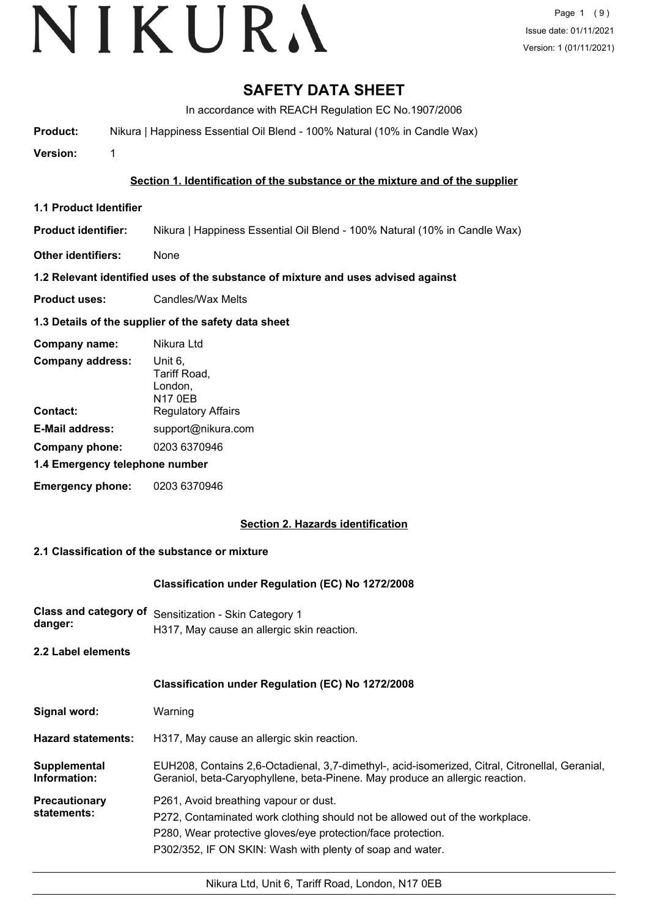# VIKURA

# **SAFETY DATA SHEET**

In accordance with REACH Regulation EC No.1907/2006

**Product:** Nikura | Happiness Essential Oil Blend - 100% Natural (10% in Candle Wax)

**Version:** 1

## **Section 1. Identification of the substance or the mixture and of the supplier**

- **1.1 Product Identifier**
- **Product identifier:** Nikura | Happiness Essential Oil Blend - 100% Natural (10% in Candle Wax)
- **Other identifiers:** None

## **1.2 Relevant identified uses of the substance of mixture and uses advised against**

**Product uses:** Candles/Wax Melts

#### **1.3 Details of the supplier of the safety data sheet**

| Company name:                  | Nikura Ltd                                           |
|--------------------------------|------------------------------------------------------|
| <b>Company address:</b>        | Unit 6,<br>Tariff Road,<br>London,<br><b>N17 0EB</b> |
| Contact:                       | <b>Regulatory Affairs</b>                            |
| <b>E-Mail address:</b>         | support@nikura.com                                   |
| Company phone:                 | 0203 6370946                                         |
| 1.4 Emergency telephone number |                                                      |
| <b>Emergency phone:</b>        | 0203 6370946                                         |

## **Section 2. Hazards identification**

## **2.1 Classification of the substance or mixture**

#### **Classification under Regulation (EC) No 1272/2008**

**Class and category of** Sensitization - Skin Category 1 **danger:** H317, May cause an allergic skin reaction.

**2.2 Label elements**

## **Classification under Regulation (EC) No 1272/2008**

| Signal word: | Warning |
|--------------|---------|
|--------------|---------|

**Hazard statements:** H317, May cause an allergic skin reaction.

EUH208, Contains 2,6-Octadienal, 3,7-dimethyl-, acid-isomerized, Citral, Citronellal, Geranial, Geraniol, beta-Caryophyllene, beta-Pinene. May produce an allergic reaction. **Supplemental Information: Precautionary statements:** P261, Avoid breathing vapour or dust.

- P272, Contaminated work clothing should not be allowed out of the workplace.
	- P280, Wear protective gloves/eye protection/face protection.
		- P302/352, IF ON SKIN: Wash with plenty of soap and water.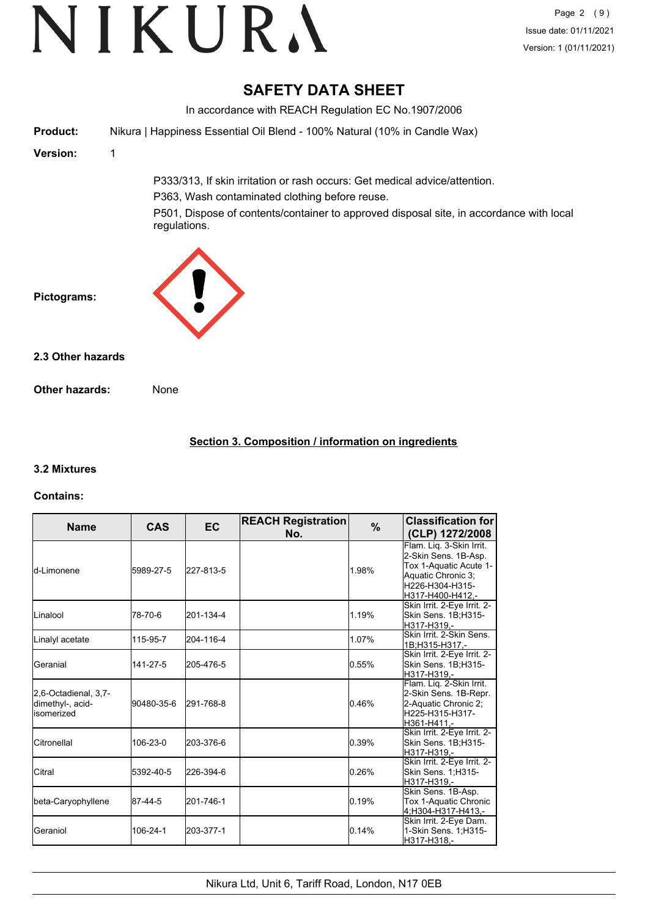# **SAFETY DATA SHEET**

In accordance with REACH Regulation EC No.1907/2006 **Product:** Nikura | Happiness Essential Oil Blend - 100% Natural (10% in Candle Wax) **Version:** 1 P333/313, If skin irritation or rash occurs: Get medical advice/attention. P363, Wash contaminated clothing before reuse. P501, Dispose of contents/container to approved disposal site, in accordance with local regulations. **Pictograms: Other hazards:** None **2.3 Other hazards**

## **Section 3. Composition / information on ingredients**

## **3.2 Mixtures**

## **Contains:**

| <b>Name</b>                                             | <b>CAS</b> | <b>EC</b> | <b>REACH Registration</b><br>No. | %     | <b>Classification for</b><br>(CLP) 1272/2008                                                                                             |
|---------------------------------------------------------|------------|-----------|----------------------------------|-------|------------------------------------------------------------------------------------------------------------------------------------------|
| <b>l</b> d-Limonene                                     | 5989-27-5  | 227-813-5 |                                  | 1.98% | Flam. Lig. 3-Skin Irrit.<br>2-Skin Sens. 1B-Asp.<br>Tox 1-Aquatic Acute 1-<br>Aquatic Chronic 3;<br>H226-H304-H315-<br>lH317-H400-H412.- |
| <b>L</b> inalool                                        | 78-70-6    | 201-134-4 |                                  | 1.19% | Skin Irrit. 2-Eye Irrit. 2-<br>Skin Sens. 1B;H315-<br>H317-H319.-                                                                        |
| Linalyl acetate                                         | 115-95-7   | 204-116-4 |                                  | 1.07% | Skin Irrit. 2-Skin Sens.<br>1B:H315-H317 -                                                                                               |
| Geranial                                                | 141-27-5   | 205-476-5 |                                  | 0.55% | Skin Irrit. 2-Eye Irrit. 2-<br>Skin Sens. 1B;H315-<br>H317-H319.-                                                                        |
| 2,6-Octadienal, 3,7-<br>dimethyl-, acid-<br>lisomerized | 90480-35-6 | 291-768-8 |                                  | 0.46% | Flam. Lig. 2-Skin Irrit.<br>2-Skin Sens. 1B-Repr.<br>2-Aquatic Chronic 2;<br>H225-H315-H317-<br>H361-H411.-                              |
| Citronellal                                             | 106-23-0   | 203-376-6 |                                  | 0.39% | Skin Irrit. 2-Eye Irrit. 2-<br>Skin Sens. 1B:H315-<br>H317-H319.-                                                                        |
| Citral                                                  | 5392-40-5  | 226-394-6 |                                  | 0.26% | Skin Irrit. 2-Eye Irrit. 2-<br>Skin Sens. 1:H315-<br>H317-H319.-                                                                         |
| beta-Caryophyllene                                      | 87-44-5    | 201-746-1 |                                  | 0.19% | Skin Sens. 1B-Asp.<br>Tox 1-Aquatic Chronic<br>4:H304-H317-H413.-                                                                        |
| Geraniol                                                | 106-24-1   | 203-377-1 |                                  | 0.14% | Skin Irrit. 2-Eye Dam.<br>1-Skin Sens. 1; H315-<br>H317-H318.-                                                                           |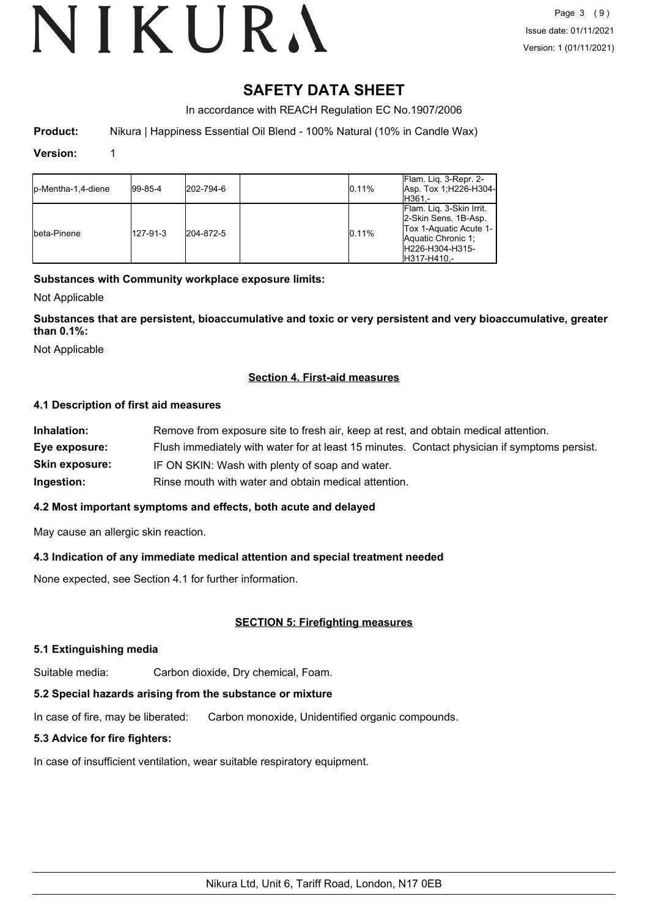# **SAFETY DATA SHEET**

In accordance with REACH Regulation EC No.1907/2006

**Product:** Nikura | Happiness Essential Oil Blend - 100% Natural (10% in Candle Wax)

#### **Version:** 1

| <b>I</b> p-Mentha-1.4-diene | $ 99-85-4 $ | 202-794-6 | 0.11% | Flam. Liq. 3-Repr. 2-<br>Asp. Tox 1, H226-H304-<br>IH361.-                                                                          |
|-----------------------------|-------------|-----------|-------|-------------------------------------------------------------------------------------------------------------------------------------|
| Ibeta-Pinene                | 127-91-3    | 204-872-5 | 0.11% | Flam. Lig. 3-Skin Irrit.<br>2-Skin Sens. 1B-Asp.<br>Tox 1-Aquatic Acute 1-<br>Aquatic Chronic 1:<br>H226-H304-H315-<br>IH317-H410.- |

#### **Substances with Community workplace exposure limits:**

Not Applicable

**Substances that are persistent, bioaccumulative and toxic or very persistent and very bioaccumulative, greater than 0.1%:**

Not Applicable

#### **Section 4. First-aid measures**

#### **4.1 Description of first aid measures**

| Remove from exposure site to fresh air, keep at rest, and obtain medical attention.          |
|----------------------------------------------------------------------------------------------|
| Flush immediately with water for at least 15 minutes. Contact physician if symptoms persist. |
| IF ON SKIN: Wash with plenty of soap and water.                                              |
| Rinse mouth with water and obtain medical attention.                                         |
|                                                                                              |

#### **4.2 Most important symptoms and effects, both acute and delayed**

May cause an allergic skin reaction.

## **4.3 Indication of any immediate medical attention and special treatment needed**

None expected, see Section 4.1 for further information.

#### **SECTION 5: Firefighting measures**

#### **5.1 Extinguishing media**

Suitable media: Carbon dioxide, Dry chemical, Foam.

## **5.2 Special hazards arising from the substance or mixture**

In case of fire, may be liberated: Carbon monoxide, Unidentified organic compounds.

## **5.3 Advice for fire fighters:**

In case of insufficient ventilation, wear suitable respiratory equipment.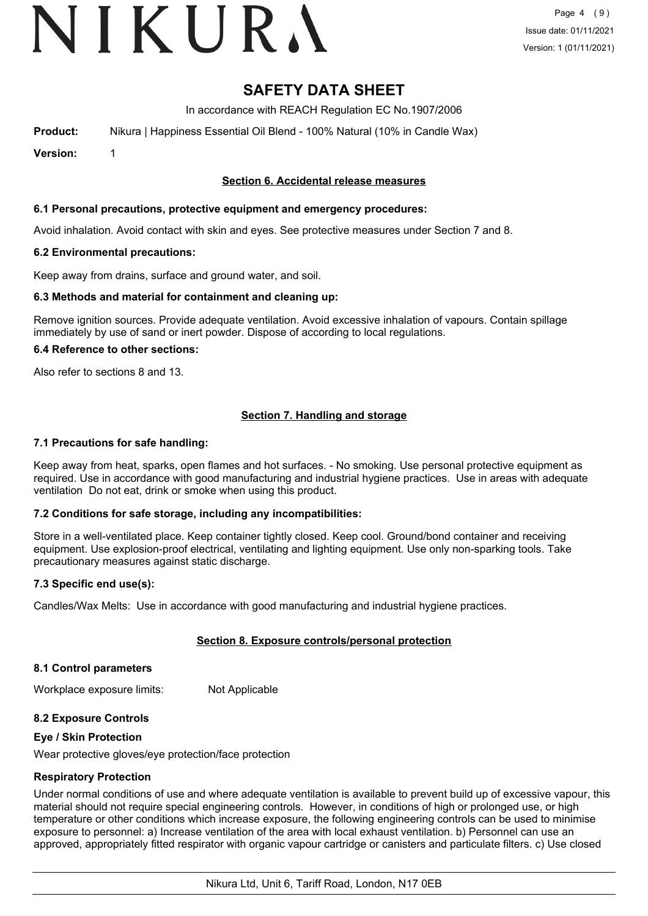# VIKURA

# **SAFETY DATA SHEET**

In accordance with REACH Regulation EC No.1907/2006

**Product:** Nikura | Happiness Essential Oil Blend - 100% Natural (10% in Candle Wax)

**Version:** 1

#### **Section 6. Accidental release measures**

#### **6.1 Personal precautions, protective equipment and emergency procedures:**

Avoid inhalation. Avoid contact with skin and eyes. See protective measures under Section 7 and 8.

#### **6.2 Environmental precautions:**

Keep away from drains, surface and ground water, and soil.

#### **6.3 Methods and material for containment and cleaning up:**

Remove ignition sources. Provide adequate ventilation. Avoid excessive inhalation of vapours. Contain spillage immediately by use of sand or inert powder. Dispose of according to local regulations.

#### **6.4 Reference to other sections:**

Also refer to sections 8 and 13.

## **Section 7. Handling and storage**

#### **7.1 Precautions for safe handling:**

Keep away from heat, sparks, open flames and hot surfaces. - No smoking. Use personal protective equipment as required. Use in accordance with good manufacturing and industrial hygiene practices. Use in areas with adequate ventilation Do not eat, drink or smoke when using this product.

#### **7.2 Conditions for safe storage, including any incompatibilities:**

Store in a well-ventilated place. Keep container tightly closed. Keep cool. Ground/bond container and receiving equipment. Use explosion-proof electrical, ventilating and lighting equipment. Use only non-sparking tools. Take precautionary measures against static discharge.

#### **7.3 Specific end use(s):**

Candles/Wax Melts: Use in accordance with good manufacturing and industrial hygiene practices.

#### **Section 8. Exposure controls/personal protection**

#### **8.1 Control parameters**

Workplace exposure limits: Not Applicable

#### **8.2 Exposure Controls**

#### **Eye / Skin Protection**

Wear protective gloves/eye protection/face protection

#### **Respiratory Protection**

Under normal conditions of use and where adequate ventilation is available to prevent build up of excessive vapour, this material should not require special engineering controls. However, in conditions of high or prolonged use, or high temperature or other conditions which increase exposure, the following engineering controls can be used to minimise exposure to personnel: a) Increase ventilation of the area with local exhaust ventilation. b) Personnel can use an approved, appropriately fitted respirator with organic vapour cartridge or canisters and particulate filters. c) Use closed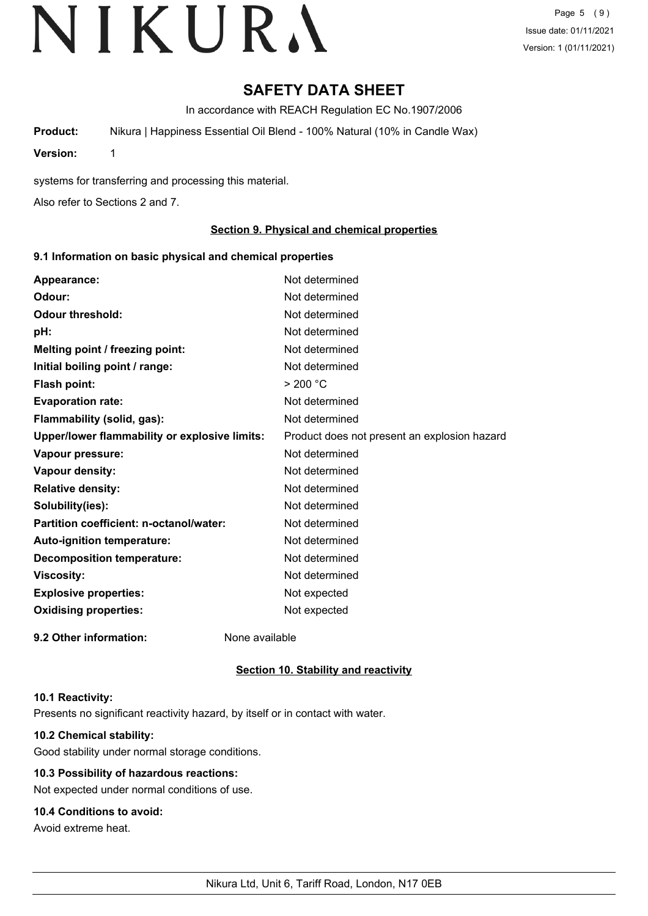Page 5 (9) Issue date: 01/11/2021 Version: 1 (01/11/2021)

# **SAFETY DATA SHEET**

In accordance with REACH Regulation EC No.1907/2006

**Product:** Nikura | Happiness Essential Oil Blend - 100% Natural (10% in Candle Wax)

**Version:** 1

systems for transferring and processing this material.

Also refer to Sections 2 and 7.

#### **Section 9. Physical and chemical properties**

#### **9.1 Information on basic physical and chemical properties**

| Appearance:                                   | Not determined                               |
|-----------------------------------------------|----------------------------------------------|
| Odour:                                        | Not determined                               |
| <b>Odour threshold:</b>                       | Not determined                               |
| pH:                                           | Not determined                               |
| Melting point / freezing point:               | Not determined                               |
| Initial boiling point / range:                | Not determined                               |
| <b>Flash point:</b>                           | > 200 °C                                     |
| <b>Evaporation rate:</b>                      | Not determined                               |
| Flammability (solid, gas):                    | Not determined                               |
| Upper/lower flammability or explosive limits: | Product does not present an explosion hazard |
| Vapour pressure:                              | Not determined                               |
| Vapour density:                               | Not determined                               |
| <b>Relative density:</b>                      | Not determined                               |
| Solubility(ies):                              | Not determined                               |
| Partition coefficient: n-octanol/water:       | Not determined                               |
| Auto-ignition temperature:                    | Not determined                               |
| <b>Decomposition temperature:</b>             | Not determined                               |
| <b>Viscosity:</b>                             | Not determined                               |
| <b>Explosive properties:</b>                  | Not expected                                 |
| <b>Oxidising properties:</b>                  | Not expected                                 |
| 9.2 Other information:                        | None available                               |

#### **Section 10. Stability and reactivity**

#### **10.1 Reactivity:**

Presents no significant reactivity hazard, by itself or in contact with water.

## **10.2 Chemical stability:**

Good stability under normal storage conditions.

## **10.3 Possibility of hazardous reactions:**

Not expected under normal conditions of use.

## **10.4 Conditions to avoid:**

Avoid extreme heat.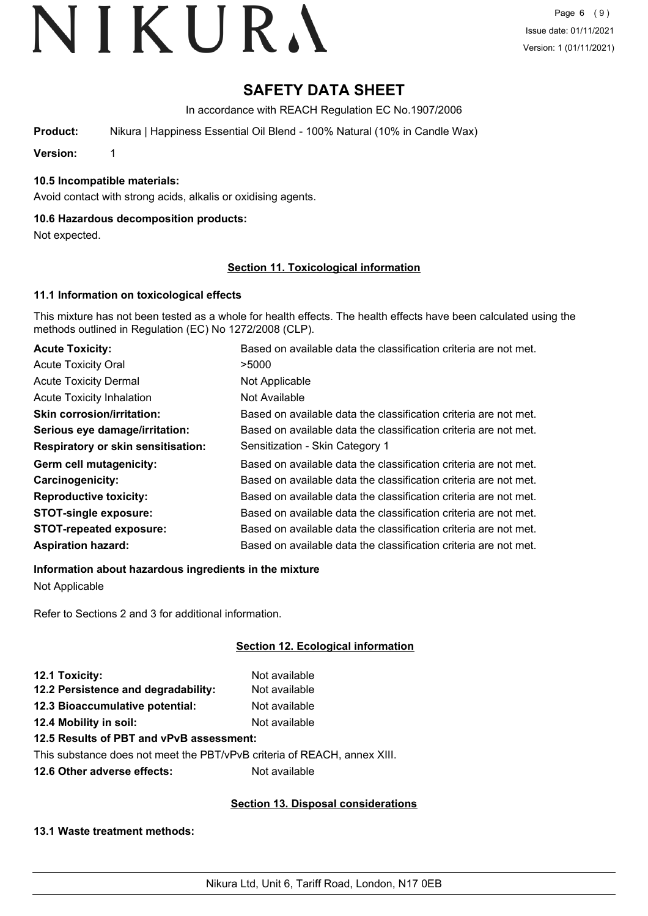# **SAFETY DATA SHEET**

In accordance with REACH Regulation EC No.1907/2006

**Product:** Nikura | Happiness Essential Oil Blend - 100% Natural (10% in Candle Wax)

**Version:** 1

## **10.5 Incompatible materials:**

Avoid contact with strong acids, alkalis or oxidising agents.

#### **10.6 Hazardous decomposition products:**

Not expected.

#### **Section 11. Toxicological information**

#### **11.1 Information on toxicological effects**

This mixture has not been tested as a whole for health effects. The health effects have been calculated using the methods outlined in Regulation (EC) No 1272/2008 (CLP).

| <b>Acute Toxicity:</b>                    | Based on available data the classification criteria are not met. |
|-------------------------------------------|------------------------------------------------------------------|
| <b>Acute Toxicity Oral</b>                | >5000                                                            |
| <b>Acute Toxicity Dermal</b>              | Not Applicable                                                   |
| <b>Acute Toxicity Inhalation</b>          | Not Available                                                    |
| <b>Skin corrosion/irritation:</b>         | Based on available data the classification criteria are not met. |
| Serious eye damage/irritation:            | Based on available data the classification criteria are not met. |
| <b>Respiratory or skin sensitisation:</b> | Sensitization - Skin Category 1                                  |
| Germ cell mutagenicity:                   | Based on available data the classification criteria are not met. |
| Carcinogenicity:                          | Based on available data the classification criteria are not met. |
| <b>Reproductive toxicity:</b>             | Based on available data the classification criteria are not met. |
| <b>STOT-single exposure:</b>              | Based on available data the classification criteria are not met. |
| <b>STOT-repeated exposure:</b>            | Based on available data the classification criteria are not met. |
| <b>Aspiration hazard:</b>                 | Based on available data the classification criteria are not met. |

**Information about hazardous ingredients in the mixture**

Not Applicable

Refer to Sections 2 and 3 for additional information.

## **Section 12. Ecological information**

| 12.1 Toxicity:                                                           | Not available |
|--------------------------------------------------------------------------|---------------|
| 12.2 Persistence and degradability:                                      | Not available |
| 12.3 Bioaccumulative potential:                                          | Not available |
| 12.4 Mobility in soil:                                                   | Not available |
| 12.5 Results of PBT and vPvB assessment:                                 |               |
| This substance does not meet the PBT/vPvB criteria of REACH, annex XIII. |               |
|                                                                          |               |

**12.6 Other adverse effects:** Not available

#### **Section 13. Disposal considerations**

#### **13.1 Waste treatment methods:**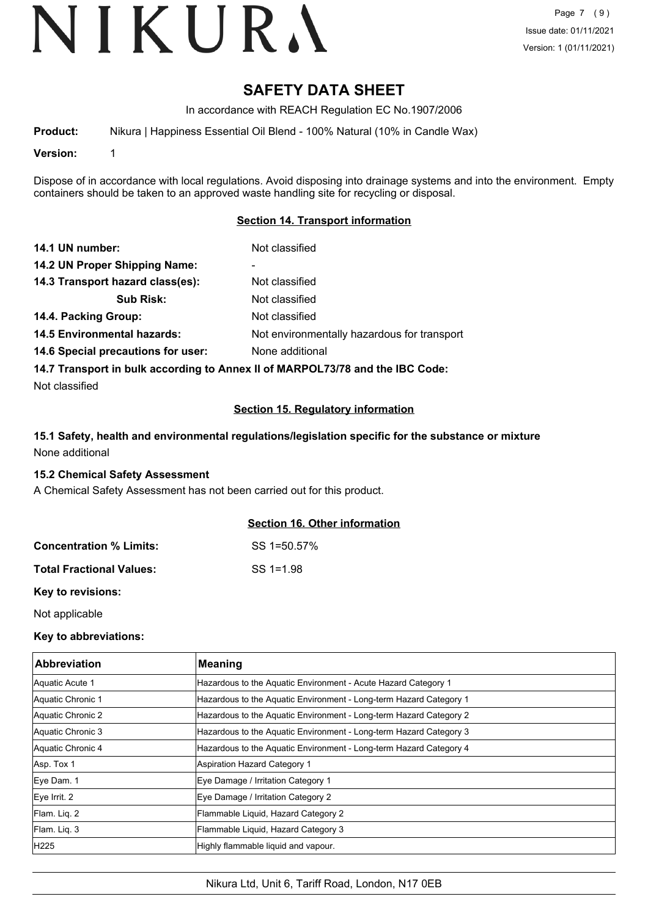# **SAFETY DATA SHEET**

In accordance with REACH Regulation EC No.1907/2006

**Product:** Nikura | Happiness Essential Oil Blend - 100% Natural (10% in Candle Wax)

**Version:** 1

Dispose of in accordance with local regulations. Avoid disposing into drainage systems and into the environment. Empty containers should be taken to an approved waste handling site for recycling or disposal.

#### **Section 14. Transport information**

| 14.1 UN number:                    | Not classified                                                                |
|------------------------------------|-------------------------------------------------------------------------------|
| 14.2 UN Proper Shipping Name:      |                                                                               |
| 14.3 Transport hazard class(es):   | Not classified                                                                |
| <b>Sub Risk:</b>                   | Not classified                                                                |
| 14.4. Packing Group:               | Not classified                                                                |
| <b>14.5 Environmental hazards:</b> | Not environmentally hazardous for transport                                   |
| 14.6 Special precautions for user: | None additional                                                               |
|                                    | 14.7 Transport in bulk according to Annex II of MARPOL73/78 and the IBC Code: |

Not classified

#### **Section 15. Regulatory information**

### **15.1 Safety, health and environmental regulations/legislation specific for the substance or mixture** None additional

#### **15.2 Chemical Safety Assessment**

A Chemical Safety Assessment has not been carried out for this product.

#### **Section 16. Other information**

| <b>Concentration % Limits:</b>  | SS 1=50.57% |
|---------------------------------|-------------|
| <b>Total Fractional Values:</b> | $SS = 1.98$ |

**Key to revisions:**

Not applicable

#### **Key to abbreviations:**

| <b>Abbreviation</b> | <b>Meaning</b>                                                     |
|---------------------|--------------------------------------------------------------------|
| Aquatic Acute 1     | Hazardous to the Aquatic Environment - Acute Hazard Category 1     |
| Aquatic Chronic 1   | Hazardous to the Aquatic Environment - Long-term Hazard Category 1 |
| Aquatic Chronic 2   | Hazardous to the Aquatic Environment - Long-term Hazard Category 2 |
| Aquatic Chronic 3   | Hazardous to the Aquatic Environment - Long-term Hazard Category 3 |
| Aquatic Chronic 4   | Hazardous to the Aquatic Environment - Long-term Hazard Category 4 |
| Asp. Tox 1          | Aspiration Hazard Category 1                                       |
| Eye Dam. 1          | Eye Damage / Irritation Category 1                                 |
| Eye Irrit. 2        | Eye Damage / Irritation Category 2                                 |
| Flam. Lig. 2        | Flammable Liquid, Hazard Category 2                                |
| Flam. Lig. 3        | Flammable Liquid, Hazard Category 3                                |
| H <sub>225</sub>    | Highly flammable liquid and vapour.                                |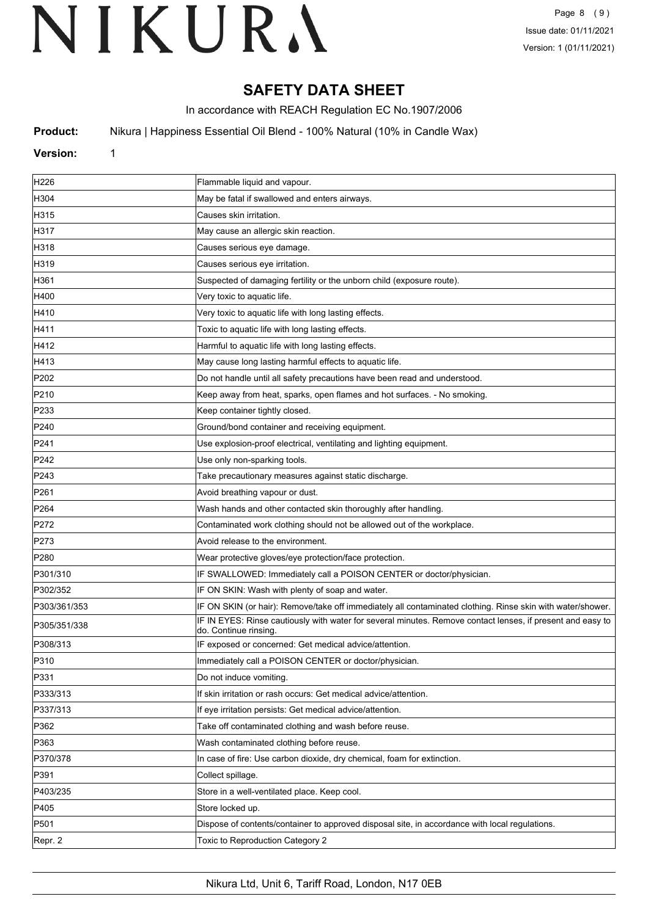# **SAFETY DATA SHEET**

In accordance with REACH Regulation EC No.1907/2006

**Product:** Nikura | Happiness Essential Oil Blend - 100% Natural (10% in Candle Wax)

#### **Version:** 1

| H226             | Flammable liquid and vapour.                                                                                                        |
|------------------|-------------------------------------------------------------------------------------------------------------------------------------|
| H304             | May be fatal if swallowed and enters airways.                                                                                       |
| H315             | Causes skin irritation.                                                                                                             |
| H317             | May cause an allergic skin reaction.                                                                                                |
| H318             | Causes serious eye damage.                                                                                                          |
| H319             | Causes serious eye irritation.                                                                                                      |
| H361             | Suspected of damaging fertility or the unborn child (exposure route).                                                               |
| H400             | Very toxic to aquatic life.                                                                                                         |
| H410             | Very toxic to aquatic life with long lasting effects.                                                                               |
| H411             | Toxic to aquatic life with long lasting effects.                                                                                    |
| H412             | Harmful to aquatic life with long lasting effects.                                                                                  |
| H413             | May cause long lasting harmful effects to aquatic life.                                                                             |
| P202             | Do not handle until all safety precautions have been read and understood.                                                           |
| P210             | Keep away from heat, sparks, open flames and hot surfaces. - No smoking.                                                            |
| P233             | Keep container tightly closed.                                                                                                      |
| P240             | Ground/bond container and receiving equipment.                                                                                      |
| P241             | Use explosion-proof electrical, ventilating and lighting equipment.                                                                 |
| P242             | Use only non-sparking tools.                                                                                                        |
| P243             | Take precautionary measures against static discharge.                                                                               |
| P <sub>261</sub> | Avoid breathing vapour or dust.                                                                                                     |
| P <sub>264</sub> | Wash hands and other contacted skin thoroughly after handling.                                                                      |
| P272             | Contaminated work clothing should not be allowed out of the workplace.                                                              |
| P273             | Avoid release to the environment.                                                                                                   |
| P280             | Wear protective gloves/eye protection/face protection.                                                                              |
| P301/310         | IF SWALLOWED: Immediately call a POISON CENTER or doctor/physician.                                                                 |
| P302/352         | IF ON SKIN: Wash with plenty of soap and water.                                                                                     |
| P303/361/353     | IF ON SKIN (or hair): Remove/take off immediately all contaminated clothing. Rinse skin with water/shower.                          |
| P305/351/338     | IF IN EYES: Rinse cautiously with water for several minutes. Remove contact lenses, if present and easy to<br>do. Continue rinsing. |
| P308/313         | IF exposed or concerned: Get medical advice/attention.                                                                              |
| P310             | Immediately call a POISON CENTER or doctor/physician.                                                                               |
| P331             | Do not induce vomiting.                                                                                                             |
| P333/313         | If skin irritation or rash occurs: Get medical advice/attention.                                                                    |
| P337/313         | If eye irritation persists: Get medical advice/attention.                                                                           |
| P362             | Take off contaminated clothing and wash before reuse.                                                                               |
| P363             | Wash contaminated clothing before reuse.                                                                                            |
| P370/378         | In case of fire: Use carbon dioxide, dry chemical, foam for extinction.                                                             |
| P391             | Collect spillage.                                                                                                                   |
| P403/235         | Store in a well-ventilated place. Keep cool.                                                                                        |
| P405             | Store locked up.                                                                                                                    |
| P501             | Dispose of contents/container to approved disposal site, in accordance with local regulations.                                      |
| Repr. 2          | Toxic to Reproduction Category 2                                                                                                    |